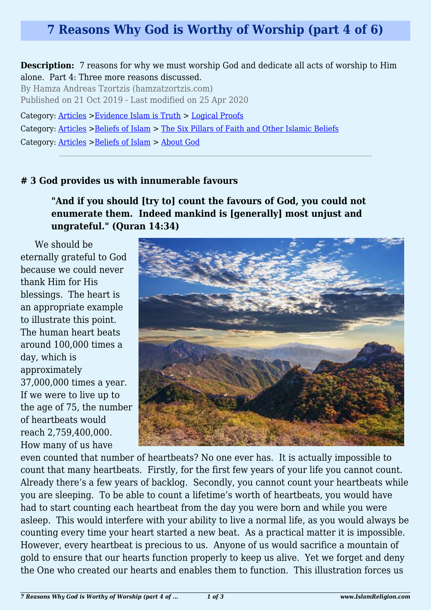# **7 Reasons Why God is Worthy of Worship (part 4 of 6)**

#### **Description:** 7 reasons for why we must worship God and dedicate all acts of worship to Him alone. Part 4: Three more reasons discussed.

By Hamza Andreas Tzortzis (hamzatzortzis.com)

Published on 21 Oct 2019 - Last modified on 25 Apr 2020

Category: [Articles](http://www.islamreligion.com/articles/) >[Evidence Islam is Truth](http://www.islamreligion.com/category/33/) > [Logical Proofs](http://www.islamreligion.com/category/116/)

Category: [Articles](http://www.islamreligion.com/articles/) >[Beliefs of Islam](http://www.islamreligion.com/category/48/) > [The Six Pillars of Faith and Other Islamic Beliefs](http://www.islamreligion.com/category/50/)

Category: [Articles](http://www.islamreligion.com/articles/) >[Beliefs of Islam](http://www.islamreligion.com/category/48/) > [About God](http://www.islamreligion.com/category/51/)

# **# 3 God provides us with innumerable favours**

**"And if you should [try to] count the favours of God, you could not enumerate them. Indeed mankind is [generally] most unjust and ungrateful." (Quran 14:34)**

We should be eternally grateful to God because we could never thank Him for His blessings. The heart is an appropriate example to illustrate this point. The human heart beats around 100,000 times a day, which is approximately 37,000,000 times a year. If we were to live up to the age of 75, the number of heartbeats would reach 2,759,400,000. How many of us have



even counted that number of heartbeats? No one ever has. It is actually impossible to count that many heartbeats. Firstly, for the first few years of your life you cannot count. Already there's a few years of backlog. Secondly, you cannot count your heartbeats while you are sleeping. To be able to count a lifetime's worth of heartbeats, you would have had to start counting each heartbeat from the day you were born and while you were asleep. This would interfere with your ability to live a normal life, as you would always be counting every time your heart started a new beat. As a practical matter it is impossible. However, every heartbeat is precious to us. Anyone of us would sacrifice a mountain of gold to ensure that our hearts function properly to keep us alive. Yet we forget and deny the One who created our hearts and enables them to function. This illustration forces us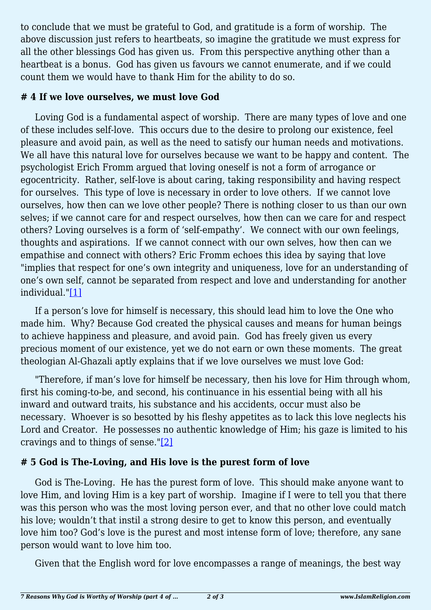to conclude that we must be grateful to God, and gratitude is a form of worship. The above discussion just refers to heartbeats, so imagine the gratitude we must express for all the other blessings God has given us. From this perspective anything other than a heartbeat is a bonus. God has given us favours we cannot enumerate, and if we could count them we would have to thank Him for the ability to do so.

#### **# 4 If we love ourselves, we must love God**

Loving God is a fundamental aspect of worship. There are many types of love and one of these includes self-love. This occurs due to the desire to prolong our existence, feel pleasure and avoid pain, as well as the need to satisfy our human needs and motivations. We all have this natural love for ourselves because we want to be happy and content. The psychologist Erich Fromm argued that loving oneself is not a form of arrogance or egocentricity. Rather, self-love is about caring, taking responsibility and having respect for ourselves. This type of love is necessary in order to love others. If we cannot love ourselves, how then can we love other people? There is nothing closer to us than our own selves; if we cannot care for and respect ourselves, how then can we care for and respect others? Loving ourselves is a form of 'self-empathy'. We connect with our own feelings, thoughts and aspirations. If we cannot connect with our own selves, how then can we empathise and connect with others? Eric Fromm echoes this idea by saying that love "implies that respect for one's own integrity and uniqueness, love for an understanding of one's own self, cannot be separated from respect and love and understanding for another individual.["\[1\]](#page-2-0)

<span id="page-1-0"></span>If a person's love for himself is necessary, this should lead him to love the One who made him. Why? Because God created the physical causes and means for human beings to achieve happiness and pleasure, and avoid pain. God has freely given us every precious moment of our existence, yet we do not earn or own these moments. The great theologian Al-Ghazali aptly explains that if we love ourselves we must love God:

"Therefore, if man's love for himself be necessary, then his love for Him through whom, first his coming-to-be, and second, his continuance in his essential being with all his inward and outward traits, his substance and his accidents, occur must also be necessary. Whoever is so besotted by his fleshy appetites as to lack this love neglects his Lord and Creator. He possesses no authentic knowledge of Him; his gaze is limited to his cravings and to things of sense." $[2]$ 

### <span id="page-1-1"></span>**# 5 God is The-Loving, and His love is the purest form of love**

God is The-Loving. He has the purest form of love. This should make anyone want to love Him, and loving Him is a key part of worship. Imagine if I were to tell you that there was this person who was the most loving person ever, and that no other love could match his love; wouldn't that instil a strong desire to get to know this person, and eventually love him too? God's love is the purest and most intense form of love; therefore, any sane person would want to love him too.

Given that the English word for love encompasses a range of meanings, the best way